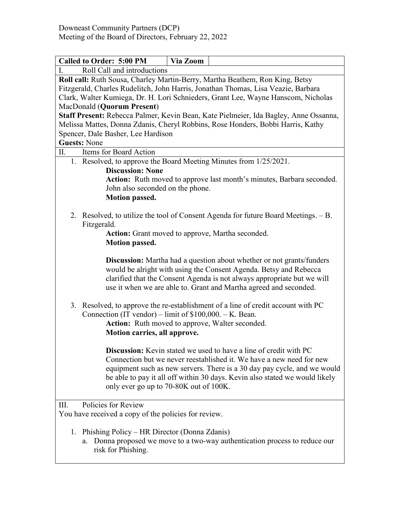| <b>Called to Order: 5:00 PM</b><br>Via Zoom                                                                 |  |  |  |
|-------------------------------------------------------------------------------------------------------------|--|--|--|
| Roll Call and introductions<br>Ι.                                                                           |  |  |  |
| Roll call: Ruth Sousa, Charley Martin-Berry, Martha Beathem, Ron King, Betsy                                |  |  |  |
| Fitzgerald, Charles Rudelitch, John Harris, Jonathan Thomas, Lisa Veazie, Barbara                           |  |  |  |
| Clark, Walter Kumiega, Dr. H. Lori Schnieders, Grant Lee, Wayne Hanscom, Nicholas                           |  |  |  |
| MacDonald (Quorum Present)                                                                                  |  |  |  |
| Staff Present: Rebecca Palmer, Kevin Bean, Kate Pielmeier, Ida Bagley, Anne Ossanna,                        |  |  |  |
| Melissa Mattes, Donna Zdanis, Cheryl Robbins, Rose Honders, Bobbi Harris, Kathy                             |  |  |  |
| Spencer, Dale Basher, Lee Hardison<br><b>Guests: None</b>                                                   |  |  |  |
| Items for Board Action<br>П.                                                                                |  |  |  |
| 1. Resolved, to approve the Board Meeting Minutes from 1/25/2021.                                           |  |  |  |
| <b>Discussion: None</b>                                                                                     |  |  |  |
| Action: Ruth moved to approve last month's minutes, Barbara seconded.                                       |  |  |  |
| John also seconded on the phone.                                                                            |  |  |  |
| <b>Motion passed.</b>                                                                                       |  |  |  |
|                                                                                                             |  |  |  |
| 2. Resolved, to utilize the tool of Consent Agenda for future Board Meetings. - B.                          |  |  |  |
| Fitzgerald.                                                                                                 |  |  |  |
| Action: Grant moved to approve, Martha seconded.                                                            |  |  |  |
| <b>Motion passed.</b>                                                                                       |  |  |  |
|                                                                                                             |  |  |  |
| <b>Discussion:</b> Martha had a question about whether or not grants/funders                                |  |  |  |
| would be alright with using the Consent Agenda. Betsy and Rebecca                                           |  |  |  |
| clarified that the Consent Agenda is not always appropriate but we will                                     |  |  |  |
| use it when we are able to. Grant and Martha agreed and seconded.                                           |  |  |  |
|                                                                                                             |  |  |  |
| 3. Resolved, to approve the re-establishment of a line of credit account with PC                            |  |  |  |
| Connection (IT vendor) – limit of $$100,000. - K.$ Bean.<br>Action: Ruth moved to approve, Walter seconded. |  |  |  |
| Motion carries, all approve.                                                                                |  |  |  |
|                                                                                                             |  |  |  |
| <b>Discussion:</b> Kevin stated we used to have a line of credit with PC                                    |  |  |  |
| Connection but we never reestablished it. We have a new need for new                                        |  |  |  |
| equipment such as new servers. There is a 30 day pay cycle, and we would                                    |  |  |  |
| be able to pay it all off within 30 days. Kevin also stated we would likely                                 |  |  |  |
| only ever go up to 70-80K out of 100K.                                                                      |  |  |  |
|                                                                                                             |  |  |  |
| Policies for Review<br>Ш.                                                                                   |  |  |  |
| You have received a copy of the policies for review.                                                        |  |  |  |
|                                                                                                             |  |  |  |
| 1. Phishing Policy - HR Director (Donna Zdanis)                                                             |  |  |  |
| Donna proposed we move to a two-way authentication process to reduce our<br>a.                              |  |  |  |
| risk for Phishing.                                                                                          |  |  |  |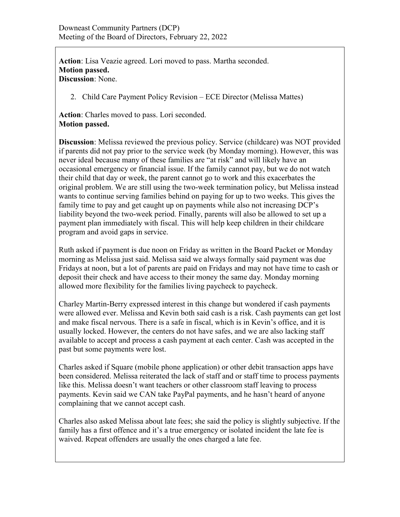**Action**: Lisa Veazie agreed. Lori moved to pass. Martha seconded. **Motion passed. Discussion**: None.

2. Child Care Payment Policy Revision – ECE Director (Melissa Mattes)

**Action**: Charles moved to pass. Lori seconded. **Motion passed.**

**Discussion**: Melissa reviewed the previous policy. Service (childcare) was NOT provided if parents did not pay prior to the service week (by Monday morning). However, this was never ideal because many of these families are "at risk" and will likely have an occasional emergency or financial issue. If the family cannot pay, but we do not watch their child that day or week, the parent cannot go to work and this exacerbates the original problem. We are still using the two-week termination policy, but Melissa instead wants to continue serving families behind on paying for up to two weeks. This gives the family time to pay and get caught up on payments while also not increasing DCP's liability beyond the two-week period. Finally, parents will also be allowed to set up a payment plan immediately with fiscal. This will help keep children in their childcare program and avoid gaps in service.

Ruth asked if payment is due noon on Friday as written in the Board Packet or Monday morning as Melissa just said. Melissa said we always formally said payment was due Fridays at noon, but a lot of parents are paid on Fridays and may not have time to cash or deposit their check and have access to their money the same day. Monday morning allowed more flexibility for the families living paycheck to paycheck.

Charley Martin-Berry expressed interest in this change but wondered if cash payments were allowed ever. Melissa and Kevin both said cash is a risk. Cash payments can get lost and make fiscal nervous. There is a safe in fiscal, which is in Kevin's office, and it is usually locked. However, the centers do not have safes, and we are also lacking staff available to accept and process a cash payment at each center. Cash was accepted in the past but some payments were lost.

Charles asked if Square (mobile phone application) or other debit transaction apps have been considered. Melissa reiterated the lack of staff and or staff time to process payments like this. Melissa doesn't want teachers or other classroom staff leaving to process payments. Kevin said we CAN take PayPal payments, and he hasn't heard of anyone complaining that we cannot accept cash.

Charles also asked Melissa about late fees; she said the policy is slightly subjective. If the family has a first offence and it's a true emergency or isolated incident the late fee is waived. Repeat offenders are usually the ones charged a late fee.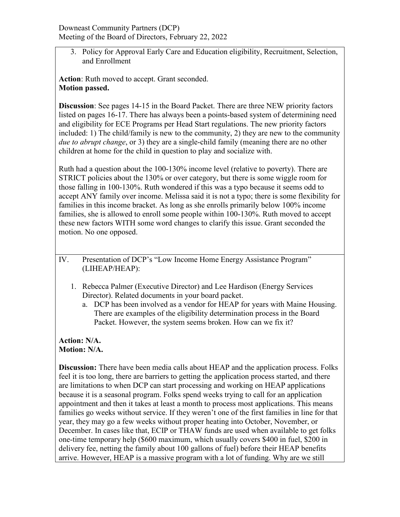3. Policy for Approval Early Care and Education eligibility, Recruitment, Selection, and Enrollment

**Action**: Ruth moved to accept. Grant seconded. **Motion passed.**

**Discussion**: See pages 14-15 in the Board Packet. There are three NEW priority factors listed on pages 16-17. There has always been a points-based system of determining need and eligibility for ECE Programs per Head Start regulations. The new priority factors included: 1) The child/family is new to the community, 2) they are new to the community *due to abrupt change*, or 3) they are a single-child family (meaning there are no other children at home for the child in question to play and socialize with.

Ruth had a question about the 100-130% income level (relative to poverty). There are STRICT policies about the 130% or over category, but there is some wiggle room for those falling in 100-130%. Ruth wondered if this was a typo because it seems odd to accept ANY family over income. Melissa said it is not a typo; there is some flexibility for families in this income bracket. As long as she enrolls primarily below 100% income families, she is allowed to enroll some people within 100-130%. Ruth moved to accept these new factors WITH some word changes to clarify this issue. Grant seconded the motion. No one opposed.

IV. Presentation of DCP's "Low Income Home Energy Assistance Program" (LIHEAP/HEAP):

- 1. Rebecca Palmer (Executive Director) and Lee Hardison (Energy Services Director). Related documents in your board packet.
	- a. DCP has been involved as a vendor for HEAP for years with Maine Housing. There are examples of the eligibility determination process in the Board Packet. However, the system seems broken. How can we fix it?

**Action: N/A. Motion: N/A.**

**Discussion:** There have been media calls about HEAP and the application process. Folks feel it is too long, there are barriers to getting the application process started, and there are limitations to when DCP can start processing and working on HEAP applications because it is a seasonal program. Folks spend weeks trying to call for an application appointment and then it takes at least a month to process most applications. This means families go weeks without service. If they weren't one of the first families in line for that year, they may go a few weeks without proper heating into October, November, or December. In cases like that, ECIP or THAW funds are used when available to get folks one-time temporary help (\$600 maximum, which usually covers \$400 in fuel, \$200 in delivery fee, netting the family about 100 gallons of fuel) before their HEAP benefits arrive. However, HEAP is a massive program with a lot of funding. Why are we still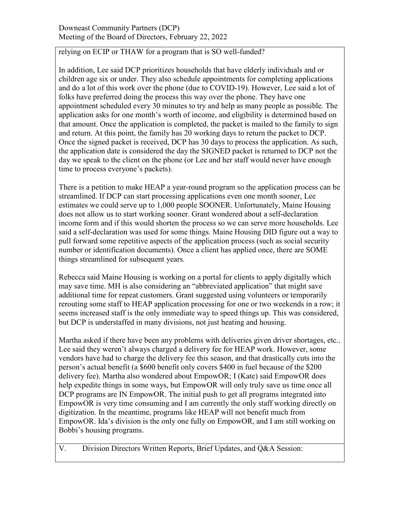## relying on ECIP or THAW for a program that is SO well-funded?

In addition, Lee said DCP prioritizes households that have elderly individuals and or children age six or under. They also schedule appointments for completing applications and do a lot of this work over the phone (due to COVID-19). However, Lee said a lot of folks have preferred doing the process this way over the phone. They have one appointment scheduled every 30 minutes to try and help as many people as possible. The application asks for one month's worth of income, and eligibility is determined based on that amount. Once the application is completed, the packet is mailed to the family to sign and return. At this point, the family has 20 working days to return the packet to DCP. Once the signed packet is received, DCP has 30 days to process the application. As such, the application date is considered the day the SIGNED packet is returned to DCP not the day we speak to the client on the phone (or Lee and her staff would never have enough time to process everyone's packets).

There is a petition to make HEAP a year-round program so the application process can be streamlined. If DCP can start processing applications even one month sooner, Lee estimates we could serve up to 1,000 people SOONER. Unfortunately, Maine Housing does not allow us to start working sooner. Grant wondered about a self-declaration income form and if this would shorten the process so we can serve more households. Lee said a self-declaration was used for some things. Maine Housing DID figure out a way to pull forward some repetitive aspects of the application process (such as social security number or identification documents). Once a client has applied once, there are SOME things streamlined for subsequent years.

Rebecca said Maine Housing is working on a portal for clients to apply digitally which may save time. MH is also considering an "abbreviated application" that might save additional time for repeat customers. Grant suggested using volunteers or temporarily rerouting some staff to HEAP application processing for one or two weekends in a row; it seems increased staff is the only immediate way to speed things up. This was considered, but DCP is understaffed in many divisions, not just heating and housing.

Martha asked if there have been any problems with deliveries given driver shortages, etc.. Lee said they weren't always charged a delivery fee for HEAP work. However, some vendors have had to charge the delivery fee this season, and that drastically cuts into the person's actual benefit (a \$600 benefit only covers \$400 in fuel because of the \$200 delivery fee). Martha also wondered about EmpowOR; I (Kate) said EmpowOR does help expedite things in some ways, but EmpowOR will only truly save us time once all DCP programs are IN EmpowOR. The initial push to get all programs integrated into EmpowOR is very time consuming and I am currently the only staff working directly on digitization. In the meantime, programs like HEAP will not benefit much from EmpowOR. Ida's division is the only one fully on EmpowOR, and I am still working on Bobbi's housing programs.

V. Division Directors Written Reports, Brief Updates, and Q&A Session: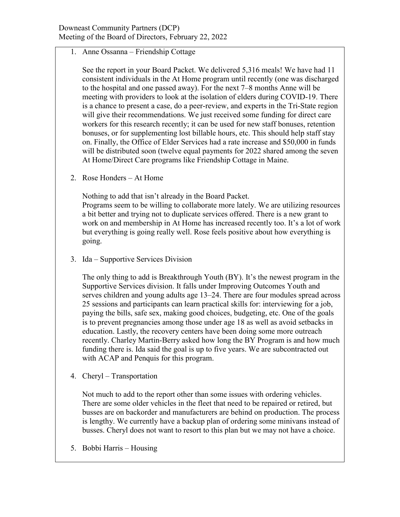1. Anne Ossanna – Friendship Cottage

See the report in your Board Packet. We delivered 5,316 meals! We have had 11 consistent individuals in the At Home program until recently (one was discharged to the hospital and one passed away). For the next 7–8 months Anne will be meeting with providers to look at the isolation of elders during COVID-19. There is a chance to present a case, do a peer-review, and experts in the Tri-State region will give their recommendations. We just received some funding for direct care workers for this research recently; it can be used for new staff bonuses, retention bonuses, or for supplementing lost billable hours, etc. This should help staff stay on. Finally, the Office of Elder Services had a rate increase and \$50,000 in funds will be distributed soon (twelve equal payments for 2022 shared among the seven At Home/Direct Care programs like Friendship Cottage in Maine.

2. Rose Honders – At Home

Nothing to add that isn't already in the Board Packet.

Programs seem to be willing to collaborate more lately. We are utilizing resources a bit better and trying not to duplicate services offered. There is a new grant to work on and membership in At Home has increased recently too. It's a lot of work but everything is going really well. Rose feels positive about how everything is going.

3. Ida – Supportive Services Division

The only thing to add is Breakthrough Youth (BY). It's the newest program in the Supportive Services division. It falls under Improving Outcomes Youth and serves children and young adults age 13–24. There are four modules spread across 25 sessions and participants can learn practical skills for: interviewing for a job, paying the bills, safe sex, making good choices, budgeting, etc. One of the goals is to prevent pregnancies among those under age 18 as well as avoid setbacks in education. Lastly, the recovery centers have been doing some more outreach recently. Charley Martin-Berry asked how long the BY Program is and how much funding there is. Ida said the goal is up to five years. We are subcontracted out with ACAP and Penquis for this program.

4. Cheryl – Transportation

Not much to add to the report other than some issues with ordering vehicles. There are some older vehicles in the fleet that need to be repaired or retired, but busses are on backorder and manufacturers are behind on production. The process is lengthy. We currently have a backup plan of ordering some minivans instead of busses. Cheryl does not want to resort to this plan but we may not have a choice.

5. Bobbi Harris – Housing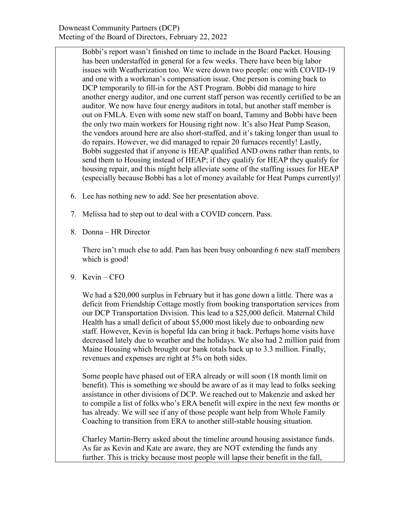Bobbi's report wasn't finished on time to include in the Board Packet. Housing has been understaffed in general for a few weeks. There have been big labor issues with Weatherization too. We were down two people: one with COVID-19 and one with a workman's compensation issue. One person is coming back to DCP temporarily to fill-in for the AST Program. Bobbi did manage to hire another energy auditor, and one current staff person was recently certified to be an auditor. We now have four energy auditors in total, but another staff member is out on FMLA. Even with some new staff on board, Tammy and Bobbi have been the only two main workers for Housing right now. It's also Heat Pump Season, the vendors around here are also short-staffed, and it's taking longer than usual to do repairs. However, we did managed to repair 20 furnaces recently! Lastly, Bobbi suggested that if anyone is HEAP qualified AND owns rather than rents, to send them to Housing instead of HEAP; if they qualify for HEAP they qualify for housing repair, and this might help alleviate some of the staffing issues for HEAP (especially because Bobbi has a lot of money available for Heat Pumps currently)!

- 6. Lee has nothing new to add. See her presentation above.
- 7. Melissa had to step out to deal with a COVID concern. Pass.
- 8. Donna HR Director

There isn't much else to add. Pam has been busy onboarding 6 new staff members which is good!

9. Kevin – CFO

We had a \$20,000 surplus in February but it has gone down a little. There was a deficit from Friendship Cottage mostly from booking transportation services from our DCP Transportation Division. This lead to a \$25,000 deficit. Maternal Child Health has a small deficit of about \$5,000 most likely due to onboarding new staff. However, Kevin is hopeful Ida can bring it back. Perhaps home visits have decreased lately due to weather and the holidays. We also had 2 million paid from Maine Housing which brought our bank totals back up to 3.3 million. Finally, revenues and expenses are right at 5% on both sides.

Some people have phased out of ERA already or will soon (18 month limit on benefit). This is something we should be aware of as it may lead to folks seeking assistance in other divisions of DCP. We reached out to Makenzie and asked her to compile a list of folks who's ERA benefit will expire in the next few months or has already. We will see if any of those people want help from Whole Family Coaching to transition from ERA to another still-stable housing situation.

Charley Martin-Berry asked about the timeline around housing assistance funds. As far as Kevin and Kate are aware, they are NOT extending the funds any further. This is tricky because most people will lapse their benefit in the fall,